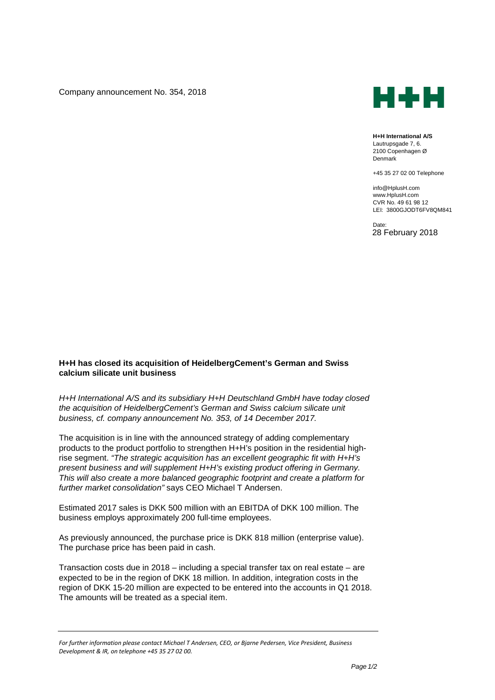Company announcement No. 354, 2018



**H+H International A/S** Lautrupsgade 7, 6. 2100 Copenhagen Ø Denmark

+45 35 27 02 00 Telephone

info@HplusH.com www.HplusH.com CVR No. 49 61 98 12 LEI: 3800GJODT6FV8QM841

Date: 28 February 2018

## **H+H has closed its acquisition of HeidelbergCement's German and Swiss calcium silicate unit business**

*H+H International A/S and its subsidiary H+H Deutschland GmbH have today closed the acquisition of HeidelbergCement's German and Swiss calcium silicate unit business, cf. company announcement No. 353, of 14 December 2017.*

The acquisition is in line with the announced strategy of adding complementary products to the product portfolio to strengthen H+H's position in the residential highrise segment. *"The strategic acquisition has an excellent geographic fit with H+H's present business and will supplement H+H's existing product offering in Germany. This will also create a more balanced geographic footprint and create a platform for further market consolidation"* says CEO Michael T Andersen.

Estimated 2017 sales is DKK 500 million with an EBITDA of DKK 100 million. The business employs approximately 200 full-time employees.

As previously announced, the purchase price is DKK 818 million (enterprise value). The purchase price has been paid in cash.

Transaction costs due in 2018 – including a special transfer tax on real estate – are expected to be in the region of DKK 18 million. In addition, integration costs in the region of DKK 15-20 million are expected to be entered into the accounts in Q1 2018. The amounts will be treated as a special item.

*For further information please contact Michael T Andersen, CEO, or Bjarne Pedersen, Vice President, Business Development & IR, on telephone +45 35 27 02 00.*